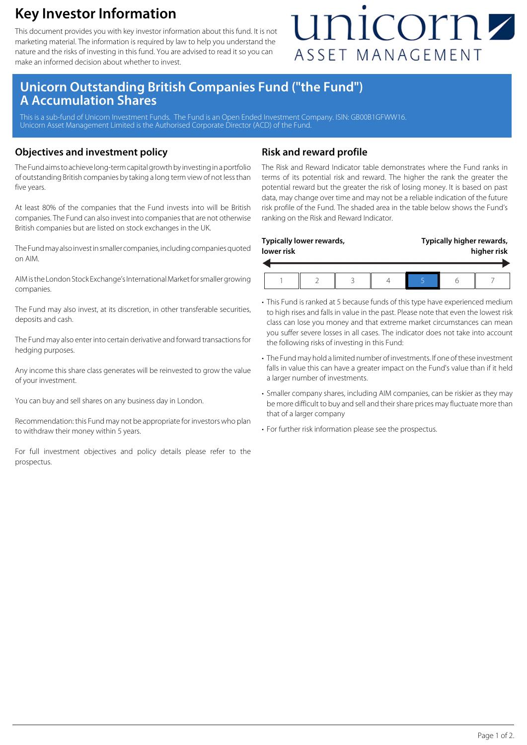### **Key Investor Information**

This document provides you with key investor information about this fund. It is not marketing material. The information is required by law to help you understand the nature and the risks of investing in this fund. You are advised to read it so you can make an informed decision about whether to invest.

## unicornz ASSET MANAGEMENT

### **Unicorn Outstanding British Companies Fund ("the Fund") A Accumulation Shares**

This is a sub-fund of Unicorn Investment Funds. The Fund is an Open Ended Investment Company. ISIN: GB00B1GFWW16. Unicorn Asset Management Limited is the Authorised Corporate Director (ACD) of the Fund.

### **Objectives and investment policy**

The Fund aims to achieve long-term capital growth by investing in a portfolio of outstanding British companies by taking a long term view of not less than five years.

At least 80% of the companies that the Fund invests into will be British companies. The Fund can also invest into companies that are not otherwise British companies but are listed on stock exchanges in the UK.

The Fund may also invest in smaller companies, including companies quoted on AIM.

AIM is the London Stock Exchange's International Market for smaller growing companies.

The Fund may also invest, at its discretion, in other transferable securities, deposits and cash.

The Fund may also enter into certain derivative and forward transactions for hedging purposes.

Any income this share class generates will be reinvested to grow the value of your investment.

You can buy and sell shares on any business day in London.

Recommendation: this Fund may not be appropriate for investors who plan to withdraw their money within 5 years.

For full investment objectives and policy details please refer to the prospectus.

### **Risk and reward profile**

The Risk and Reward Indicator table demonstrates where the Fund ranks in terms of its potential risk and reward. The higher the rank the greater the potential reward but the greater the risk of losing money. It is based on past data, may change over time and may not be a reliable indication of the future risk profile of the Fund. The shaded area in the table below shows the Fund's ranking on the Risk and Reward Indicator.

| lower risk | Typically lower rewards, |  | Typically higher rewards,<br>higher risk |  |  |
|------------|--------------------------|--|------------------------------------------|--|--|
|            |                          |  |                                          |  |  |

- This Fund is ranked at 5 because funds of this type have experienced medium to high rises and falls in value in the past. Please note that even the lowest risk class can lose you money and that extreme market circumstances can mean you suffer severe losses in all cases. The indicator does not take into account the following risks of investing in this Fund:
- The Fund may hold a limited number of investments. If one of these investment falls in value this can have a greater impact on the Fund's value than if it held a larger number of investments.
- Smaller company shares, including AIM companies, can be riskier as they may be more difficult to buy and sell and their share prices may fluctuate more than that of a larger company
- For further risk information please see the prospectus.